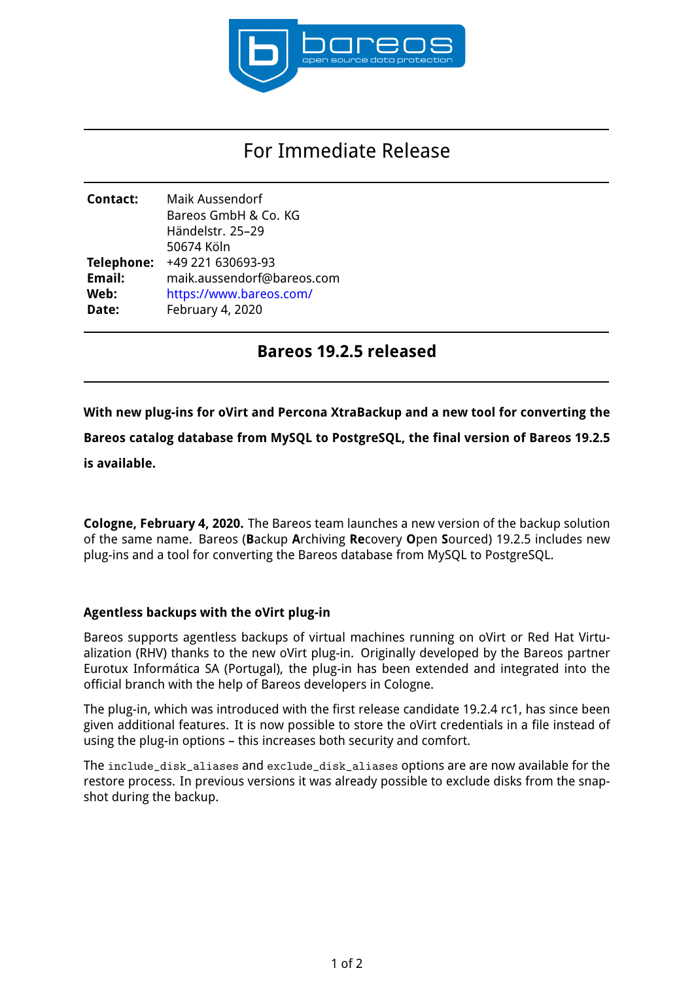

# For Immediate Release

| <b>Contact:</b> | Maik Aussendorf<br>Bareos GmbH & Co. KG<br>Händelstr. 25-29 |
|-----------------|-------------------------------------------------------------|
|                 | 50674 Köln                                                  |
| Telephone:      | +49 221 630693-93                                           |
| Email:          | maik.aussendorf@bareos.com                                  |
| Web:            | https://www.bareos.com/                                     |
| Date:           | February 4, 2020                                            |

# **Bareos 19.2.5 released**

# **With new plug-ins for oVirt and Percona XtraBackup and a new tool for converting the**

**Bareos catalog database from MySQL to PostgreSQL, the final version of Bareos 19.2.5**

**is available.**

**Cologne, February 4, 2020.** The Bareos team launches a new version of the backup solution of the same name. Bareos (**B**ackup **A**rchiving **Re**covery **O**pen **S**ourced) 19.2.5 includes new plug-ins and a tool for converting the Bareos database from MySQL to PostgreSQL.

## **Agentless backups with the oVirt plug-in**

Bareos supports agentless backups of virtual machines running on oVirt or Red Hat Virtualization (RHV) thanks to the new oVirt plug-in. Originally developed by the Bareos partner Eurotux Informática SA (Portugal), the plug-in has been extended and integrated into the official branch with the help of Bareos developers in Cologne.

The plug-in, which was introduced with the first release candidate 19.2.4 rc1, has since been given additional features. It is now possible to store the oVirt credentials in a file instead of using the plug-in options – this increases both security and comfort.

The include\_disk\_aliases and exclude\_disk\_aliases options are are now available for the restore process. In previous versions it was already possible to exclude disks from the snapshot during the backup.